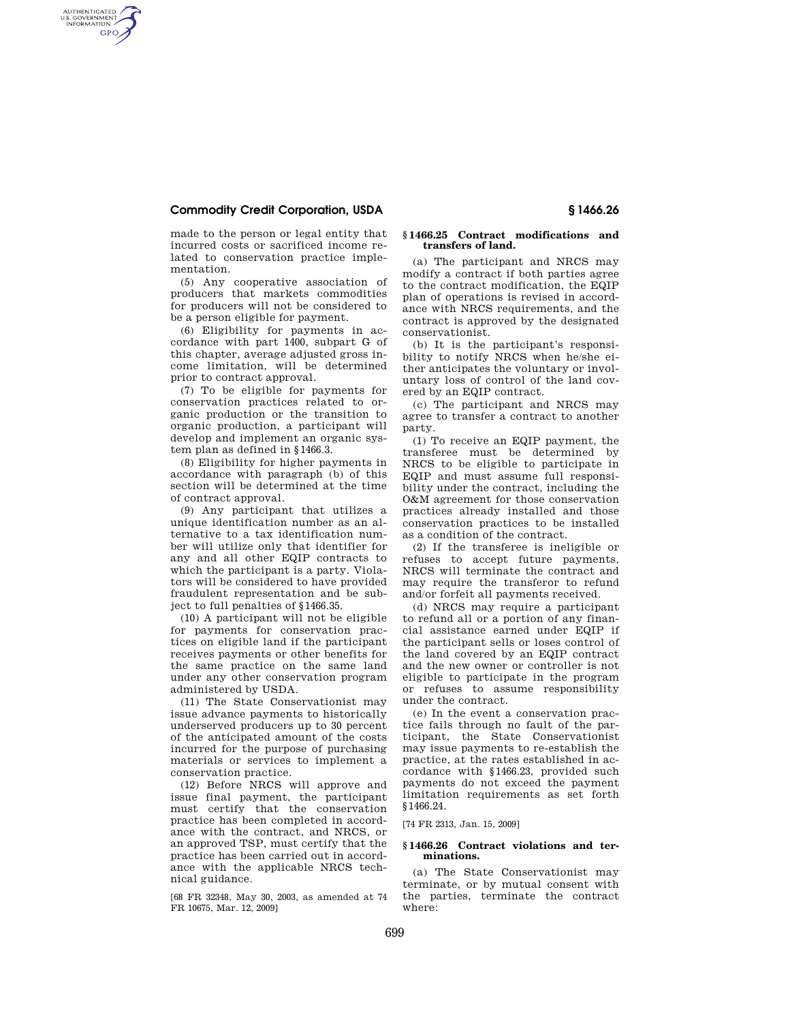## **Commodity Credit Corporation, USDA § 1466.26**

AUTHENTICATED<br>U.S. GOVERNMENT<br>INFORMATION **GPO** 

made to the person or legal entity that incurred costs or sacrificed income related to conservation practice implementation.

(5) Any cooperative association of producers that markets commodities for producers will not be considered to be a person eligible for payment.

(6) Eligibility for payments in accordance with part 1400, subpart G of this chapter, average adjusted gross income limitation, will be determined prior to contract approval.

(7) To be eligible for payments for conservation practices related to organic production or the transition to organic production, a participant will develop and implement an organic system plan as defined in §1466.3.

(8) Eligibility for higher payments in accordance with paragraph (b) of this section will be determined at the time of contract approval.

(9) Any participant that utilizes a unique identification number as an alternative to a tax identification number will utilize only that identifier for any and all other EQIP contracts to which the participant is a party. Violators will be considered to have provided fraudulent representation and be subject to full penalties of §1466.35.

(10) A participant will not be eligible for payments for conservation practices on eligible land if the participant receives payments or other benefits for the same practice on the same land under any other conservation program administered by USDA.

(11) The State Conservationist may issue advance payments to historically underserved producers up to 30 percent of the anticipated amount of the costs incurred for the purpose of purchasing materials or services to implement a conservation practice.

(12) Before NRCS will approve and issue final payment, the participant must certify that the conservation practice has been completed in accordance with the contract, and NRCS, or an approved TSP, must certify that the practice has been carried out in accordance with the applicable NRCS technical guidance.

[68 FR 32348, May 30, 2003, as amended at 74 FR 10675, Mar. 12, 2009]

#### **§ 1466.25 Contract modifications and transfers of land.**

(a) The participant and NRCS may modify a contract if both parties agree to the contract modification, the EQIP plan of operations is revised in accordance with NRCS requirements, and the contract is approved by the designated conservationist.

(b) It is the participant's responsibility to notify NRCS when he/she either anticipates the voluntary or involuntary loss of control of the land covered by an EQIP contract.

(c) The participant and NRCS may agree to transfer a contract to another party.

(1) To receive an EQIP payment, the transferee must be determined by NRCS to be eligible to participate in EQIP and must assume full responsibility under the contract, including the O&M agreement for those conservation practices already installed and those conservation practices to be installed as a condition of the contract.

(2) If the transferee is ineligible or refuses to accept future payments, NRCS will terminate the contract and may require the transferor to refund and/or forfeit all payments received.

(d) NRCS may require a participant to refund all or a portion of any financial assistance earned under EQIP if the participant sells or loses control of the land covered by an EQIP contract and the new owner or controller is not eligible to participate in the program or refuses to assume responsibility under the contract.

(e) In the event a conservation practice fails through no fault of the participant, the State Conservationist may issue payments to re-establish the practice, at the rates established in accordance with §1466.23, provided such payments do not exceed the payment limitation requirements as set forth §1466.24.

[74 FR 2313, Jan. 15, 2009]

#### **§ 1466.26 Contract violations and terminations.**

(a) The State Conservationist may terminate, or by mutual consent with the parties, terminate the contract where: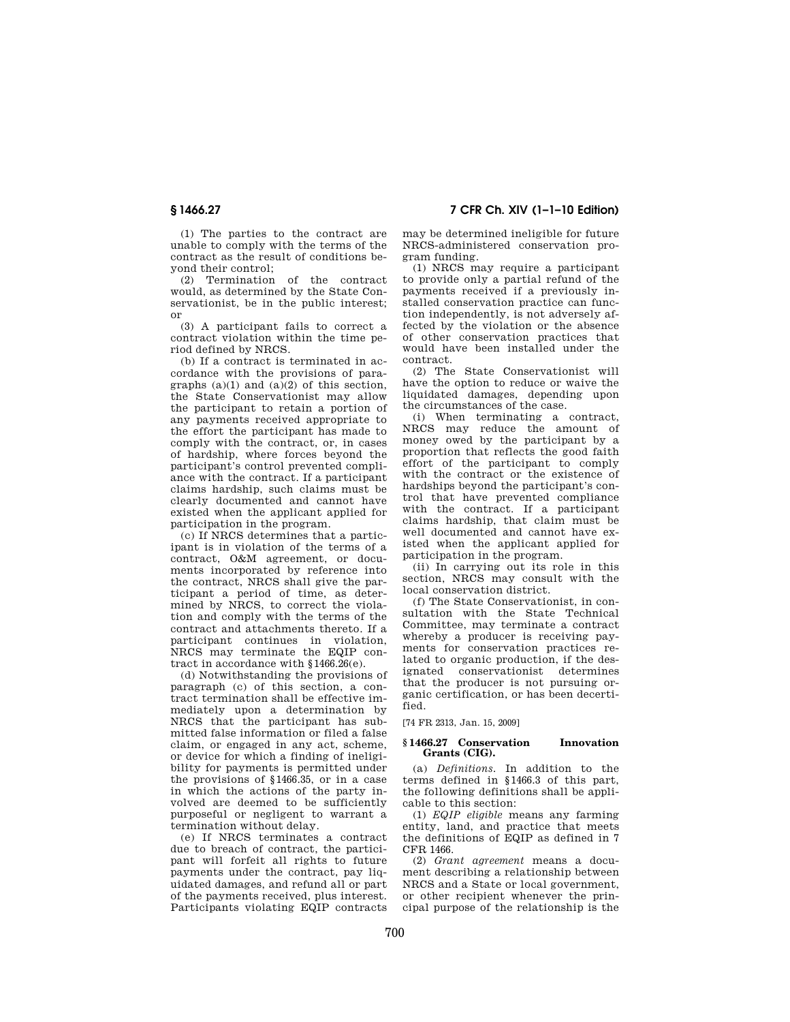**§ 1466.27 7 CFR Ch. XIV (1–1–10 Edition)** 

(1) The parties to the contract are unable to comply with the terms of the contract as the result of conditions beyond their control;<br>(2) Termination

of the contract would, as determined by the State Conservationist, be in the public interest; or

(3) A participant fails to correct a contract violation within the time period defined by NRCS.

(b) If a contract is terminated in accordance with the provisions of paragraphs  $(a)(1)$  and  $(a)(2)$  of this section, the State Conservationist may allow the participant to retain a portion of any payments received appropriate to the effort the participant has made to comply with the contract, or, in cases of hardship, where forces beyond the participant's control prevented compliance with the contract. If a participant claims hardship, such claims must be clearly documented and cannot have existed when the applicant applied for participation in the program.

(c) If NRCS determines that a participant is in violation of the terms of a contract, O&M agreement, or documents incorporated by reference into the contract, NRCS shall give the participant a period of time, as determined by NRCS, to correct the violation and comply with the terms of the contract and attachments thereto. If a participant continues in violation, NRCS may terminate the EQIP contract in accordance with §1466.26(e).

(d) Notwithstanding the provisions of paragraph (c) of this section, a contract termination shall be effective immediately upon a determination by NRCS that the participant has submitted false information or filed a false claim, or engaged in any act, scheme, or device for which a finding of ineligibility for payments is permitted under the provisions of §1466.35, or in a case in which the actions of the party involved are deemed to be sufficiently purposeful or negligent to warrant a termination without delay.

(e) If NRCS terminates a contract due to breach of contract, the participant will forfeit all rights to future payments under the contract, pay liquidated damages, and refund all or part of the payments received, plus interest. Participants violating EQIP contracts

may be determined ineligible for future NRCS-administered conservation program funding.

(1) NRCS may require a participant to provide only a partial refund of the payments received if a previously installed conservation practice can function independently, is not adversely affected by the violation or the absence of other conservation practices that would have been installed under the contract.

(2) The State Conservationist will have the option to reduce or waive the liquidated damages, depending upon the circumstances of the case.

(i) When terminating a contract, NRCS may reduce the amount of money owed by the participant by a proportion that reflects the good faith effort of the participant to comply with the contract or the existence of hardships beyond the participant's control that have prevented compliance with the contract. If a participant claims hardship, that claim must be well documented and cannot have existed when the applicant applied for participation in the program.

(ii) In carrying out its role in this section, NRCS may consult with the local conservation district.

(f) The State Conservationist, in consultation with the State Technical Committee, may terminate a contract whereby a producer is receiving payments for conservation practices related to organic production, if the designated conservationist determines that the producer is not pursuing organic certification, or has been decertified.

[74 FR 2313, Jan. 15, 2009]

### **§ 1466.27 Conservation Innovation Grants (CIG).**

(a) *Definitions.* In addition to the terms defined in §1466.3 of this part, the following definitions shall be applicable to this section:

(1) *EQIP eligible* means any farming entity, land, and practice that meets the definitions of EQIP as defined in 7 CFR 1466.

(2) *Grant agreement* means a document describing a relationship between NRCS and a State or local government, or other recipient whenever the principal purpose of the relationship is the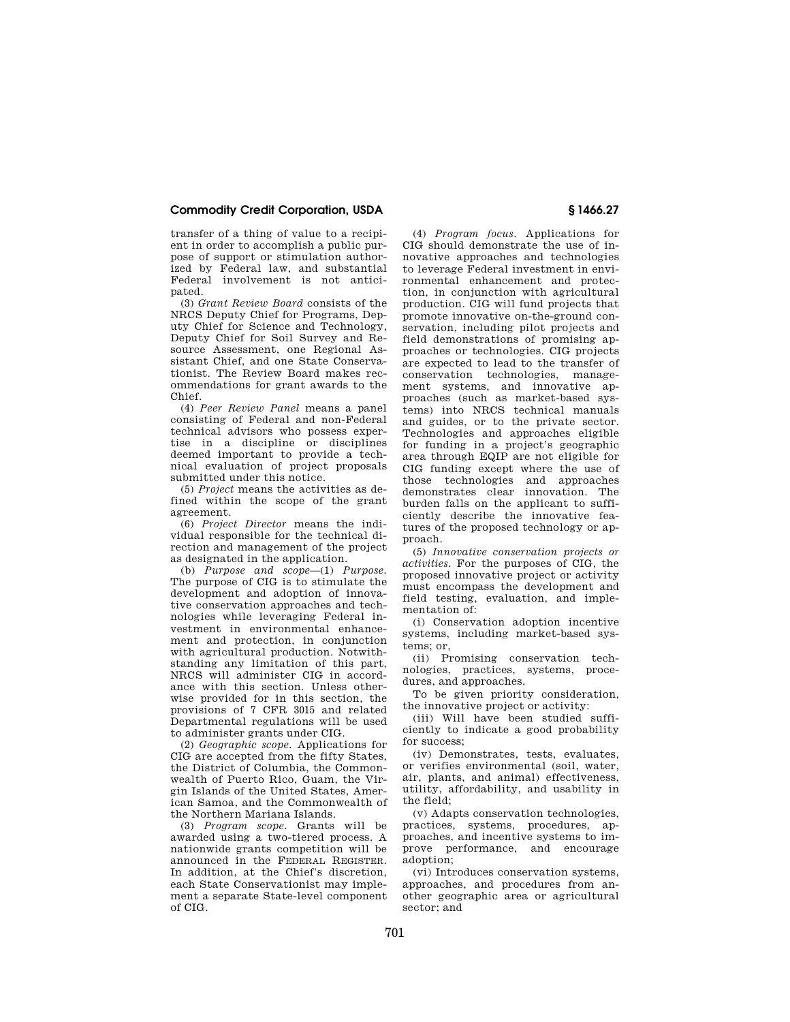## **Commodity Credit Corporation, USDA § 1466.27**

transfer of a thing of value to a recipient in order to accomplish a public purpose of support or stimulation authorized by Federal law, and substantial Federal involvement is not anticipated.

(3) *Grant Review Board* consists of the NRCS Deputy Chief for Programs, Deputy Chief for Science and Technology, Deputy Chief for Soil Survey and Resource Assessment, one Regional Assistant Chief, and one State Conservationist. The Review Board makes recommendations for grant awards to the Chief.

(4) *Peer Review Panel* means a panel consisting of Federal and non-Federal technical advisors who possess expertise in a discipline or disciplines deemed important to provide a technical evaluation of project proposals submitted under this notice.

(5) *Project* means the activities as defined within the scope of the grant agreement.

(6) *Project Director* means the individual responsible for the technical direction and management of the project as designated in the application.

(b) *Purpose and scope*—(1) *Purpose.*  The purpose of CIG is to stimulate the development and adoption of innovative conservation approaches and technologies while leveraging Federal investment in environmental enhancement and protection, in conjunction with agricultural production. Notwithstanding any limitation of this part, NRCS will administer CIG in accordance with this section. Unless otherwise provided for in this section, the provisions of 7 CFR 3015 and related Departmental regulations will be used to administer grants under CIG.

(2) *Geographic scope.* Applications for CIG are accepted from the fifty States, the District of Columbia, the Commonwealth of Puerto Rico, Guam, the Virgin Islands of the United States, American Samoa, and the Commonwealth of the Northern Mariana Islands.

(3) *Program scope.* Grants will be awarded using a two-tiered process. A nationwide grants competition will be announced in the FEDERAL REGISTER. In addition, at the Chief's discretion, each State Conservationist may implement a separate State-level component of CIG.

(4) *Program focus*. Applications for CIG should demonstrate the use of innovative approaches and technologies to leverage Federal investment in environmental enhancement and protection, in conjunction with agricultural production. CIG will fund projects that promote innovative on-the-ground conservation, including pilot projects and field demonstrations of promising approaches or technologies. CIG projects are expected to lead to the transfer of conservation technologies, management systems, and innovative approaches (such as market-based systems) into NRCS technical manuals and guides, or to the private sector. Technologies and approaches eligible for funding in a project's geographic area through EQIP are not eligible for CIG funding except where the use of those technologies and approaches demonstrates clear innovation. The burden falls on the applicant to sufficiently describe the innovative features of the proposed technology or approach.

(5) *Innovative conservation projects or activities.* For the purposes of CIG, the proposed innovative project or activity must encompass the development and field testing, evaluation, and implementation of:

(i) Conservation adoption incentive systems, including market-based systems; or,

(ii) Promising conservation technologies, practices, systems, procedures, and approaches.

To be given priority consideration, the innovative project or activity:

(iii) Will have been studied sufficiently to indicate a good probability for success;

(iv) Demonstrates, tests, evaluates, or verifies environmental (soil, water, air, plants, and animal) effectiveness, utility, affordability, and usability in the field;

(v) Adapts conservation technologies, practices, systems, procedures, approaches, and incentive systems to improve performance, and encourage adoption;

(vi) Introduces conservation systems, approaches, and procedures from another geographic area or agricultural sector; and